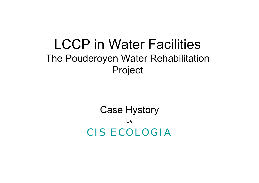# LCCP in Water FacilitiesThe Pouderoyen Water Rehabilitation Project

Case Hystory by CIS ECOLOGIA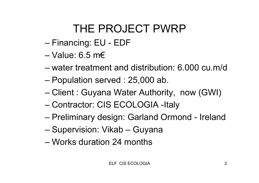# THE PROJECT PWRP

- Financing: EU EDF
- –Value: 6.5 m€
- –water treatment and distribution: 6.000 cu.m/d
- Population served : 25,000 ab.
- Client : Guyana Water Authority, now (GWI)
- Contractor: CIS ECOLOGIA -Italy
- Preliminary design: Garland Ormond Ireland
- Supervision: Vikab Guyana
- –Works duration 24 months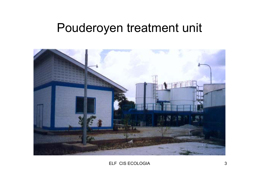# Pouderoyen treatment unit

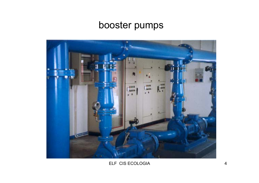# booster pumps

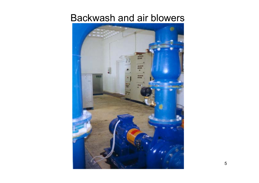# Backwash and air blowers

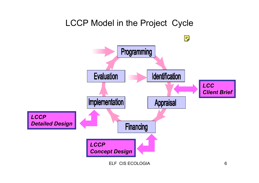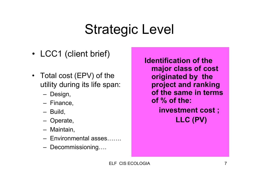# Strategic Level

- LCC1 (client brief)
- Total cost (EPV) of the utility during its life span:
	- Design,
	- Finance,
	- Build,
	- Operate,
	- Maintain,
	- –Environmental asses…….
	- Decommissioning….

**Identificationof the major class of cost originated by the project and ranking of the same intermsof % of the: investment cost ;**

**LLC (PV)**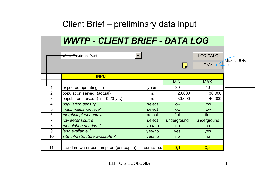# Client Brief – preliminary data input

| <b>WWTP - CLIENT BRIEF - DATA LOG</b> |  |                                         |                           |              |                 |                                |  |
|---------------------------------------|--|-----------------------------------------|---------------------------|--------------|-----------------|--------------------------------|--|
|                                       |  | Water Treatment Plant                   |                           |              | <b>LCC CALC</b> |                                |  |
|                                       |  |                                         |                           | $\mathsf{L}$ | <b>ENV</b>      | <b>Click for E</b><br>-Imodule |  |
|                                       |  | <b>INPUT</b>                            |                           |              |                 |                                |  |
|                                       |  |                                         |                           | MIN.         | <b>MAX</b>      |                                |  |
|                                       |  | expected operating life                 | years                     | 30           | 40              |                                |  |
| $\overline{2}$                        |  | population served (actual)              | n.                        | 20.000       | 30.000          |                                |  |
| 3                                     |  | population served (in 10-20 yrs)        | n.                        | 30.000       | 40.000          |                                |  |
| $\overline{4}$                        |  | population density                      | select                    | low          | low             |                                |  |
| 5                                     |  | <i>industrialisation level</i>          | select                    | low          | low             |                                |  |
| 6                                     |  | morphological context                   | select                    | flat         | flat            |                                |  |
| $\overline{7}$                        |  | row water source                        | select                    | underground  | underground     |                                |  |
| 8                                     |  | reticulation needed?                    | yes/no                    | no           | no              |                                |  |
| 9                                     |  | land available ?                        | yes/no                    | yes          | yes             |                                |  |
| 10                                    |  | site infrastructure available ?         | yes/no                    | no           | no              |                                |  |
|                                       |  |                                         |                           |              |                 |                                |  |
| 11                                    |  | standard water consumption (per capita) | cu.m./ab.d <mark>l</mark> | 0,1          | 0,2             |                                |  |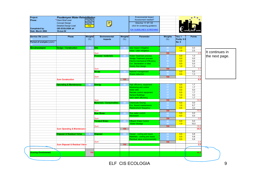| Project:                   | <b>Pouderoyen Water Rehabilitation</b>   |                |                                |                  | <b>Envronmental Impact</b>           |              |               |                                                          |
|----------------------------|------------------------------------------|----------------|--------------------------------|------------------|--------------------------------------|--------------|---------------|----------------------------------------------------------|
| Phase:                     | Client Brief Level                       | Yes/No         |                                |                  | Assessment needed?                   |              |               |                                                          |
|                            | <b>Concept Design</b>                    | Yes/No         |                                |                  | Directive 11/ 97/ CE                 |              |               |                                                          |
|                            | <b>Detailed Design Level</b>             | <b>Yes</b>     |                                |                  | click for screening guidance         |              |               |                                                          |
| <b>Completed by:</b>       | <b>CIS ECOLOGIA srl</b>                  |                |                                |                  | <b>EIA GUIDELINES SCREENING</b>      |              |               | $\boldsymbol{\epsilon}$ uroLife $\tilde{\mathsf{F}}$ orm |
| Date: March 2004           | 10-mar-04                                |                |                                |                  |                                      |              |               |                                                          |
|                            |                                          |                |                                |                  |                                      |              |               |                                                          |
| Service life (years)       | Phase                                    | <b>Weights</b> | Environmental                  | <b>Weights</b>   | <b>Parameter</b>                     | Weights      | <b>Yes: 1</b> | <b>Points</b>                                            |
| Period of analysis (years) |                                          | (% )           | impacts                        | $(\%)$           |                                      | (% )         | Partly: 0.5   |                                                          |
|                            |                                          |                |                                |                  |                                      |              | <b>No: 0</b>  |                                                          |
| <b>Environment</b>         | <b>Design / Construction</b>             | 15             | <b>Site</b>                    | 33               | view impact mitigation               | 50           | 0,0           | 0.0                                                      |
|                            |                                          |                |                                |                  | noise / odor mitigation              | 50           | 1,0           | 2,5                                                      |
|                            |                                          |                | <b>Sum</b>                     |                  |                                      | 100          |               | 2,5                                                      |
|                            |                                          |                | <b>Process / materials</b>     | 33               | <b>Water Treatment process</b>       | 50           | 0,5           | 1,3                                                      |
|                            |                                          |                |                                |                  | <b>Sludge Treatment process</b>      | $\mathbf{0}$ | 0,0           | 0,0                                                      |
|                            |                                          |                |                                |                  | <b>Electro-mechanical Efficiency</b> | 25           | 0,5           | 0,6                                                      |
|                            |                                          |                |                                |                  | Env. Declaration or label            | $\bullet$    | 0,0           | 0,0                                                      |
|                            |                                          |                |                                |                  | Gravity flow design                  | 25           | 1,0           | 1,3                                                      |
|                            |                                          |                | Sum                            |                  |                                      | 100          |               | 3,1                                                      |
|                            |                                          |                | Waste                          | 33               | <b>Material management</b>           | 50           | 0,0           | 0,0                                                      |
|                            |                                          |                |                                |                  | <b>Waste reduction</b>               | 50           | 0,5           | 1,3                                                      |
|                            |                                          |                | Sum                            |                  |                                      | 100          |               | 1,3                                                      |
|                            | <b>Sum Construction</b>                  |                |                                | 100              |                                      |              |               | 6,9                                                      |
|                            |                                          |                |                                |                  |                                      |              |               |                                                          |
|                            | <b>Operating &amp; Maintenance</b>       | 80             | <b>Energy</b>                  | 25               | High efficiency equipment            | 17           | 0,5           | 1,7                                                      |
|                            |                                          |                |                                |                  | Monitoring and control               | 17           | 0,5           | 1,7                                                      |
|                            |                                          |                |                                |                  | Solar cells                          | 17           | 0,0           | 0,0                                                      |
|                            |                                          |                |                                |                  | Remote control equipment             | 17           | 0,5           | 1,7                                                      |
|                            |                                          |                |                                |                  | <b>Service Buildings</b>             | 17           | 1,0           | 3,3                                                      |
|                            |                                          |                |                                |                  | back wash efficiency                 | 17           | 0,5           | 1,7                                                      |
|                            |                                          |                | Sum                            |                  |                                      | 100          |               | 10,0                                                     |
|                            |                                          |                | <b>Materials / Consumables</b> | 25               | <b>Chemicals Dosing</b>              | 33           | 0,0           | 0,0                                                      |
|                            |                                          |                |                                |                  | Env. Sound maintenance               | 33           | 1,0           | 6,7                                                      |
|                            |                                          |                |                                |                  | Replacement frequency                | 33           | 0,5           | 3,3                                                      |
|                            |                                          |                | <b>Sum</b><br><b>Row Water</b> | 25               | Row water control                    | 100          | 0,0           | 10,0<br>0,0                                              |
|                            |                                          |                |                                |                  | <b>Backwash</b>                      | 50<br>50     | 0,0           | 0,0                                                      |
|                            |                                          |                | <b>Sum</b>                     |                  |                                      | 100          |               | 0,0                                                      |
|                            |                                          |                | <b>Treated Water</b>           | 25               | <b>Effluent Water Control</b>        | 50           | 0,5           | 5,0                                                      |
|                            |                                          |                |                                |                  | <b>Water Storage</b>                 | 50           | 1,0           | 10,0                                                     |
|                            |                                          |                | Sum                            |                  |                                      | 100          |               | 15,0                                                     |
|                            | <b>Sum Operating &amp; Maintenance</b>   |                |                                | 100              |                                      |              |               | 35,0                                                     |
|                            |                                          |                |                                |                  |                                      |              |               |                                                          |
|                            | <b>Disposal &amp; Residual Value</b>     |                | <b>Disposal</b>                | 100 <sub>1</sub> | Design - sorting and reuse           | 33           | 0,5           | 0,8                                                      |
|                            |                                          |                |                                |                  | Materials - sorting and reuse        | 33           | 0,5           | 0,8                                                      |
|                            |                                          |                |                                |                  | Residual value environmentally       | 33           | 0,5           | 0,8                                                      |
|                            |                                          |                | Sum                            |                  |                                      | 100          |               | 2,5                                                      |
|                            | <b>Sum Disposal &amp; Residual Value</b> |                |                                | 100              |                                      |              |               | 2,5                                                      |
|                            |                                          |                |                                |                  |                                      |              |               |                                                          |
|                            |                                          |                |                                |                  |                                      |              |               |                                                          |
| <b>Scoring Envrionment</b> |                                          | 100            |                                |                  |                                      |              |               | 44.4                                                     |
|                            |                                          |                |                                |                  |                                      |              |               |                                                          |

It continues in<br>the next page.

## ELF CIS ECOLOGIA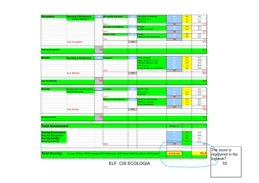| <b>Occupation</b>          | <b>Operating &amp; Maintenance</b>                                                              | 100 | Air quality and temp.               | 33  | Adjustable temperature                                  | 33              | 0,5        | 5,6          |                   |
|----------------------------|-------------------------------------------------------------------------------------------------|-----|-------------------------------------|-----|---------------------------------------------------------|-----------------|------------|--------------|-------------------|
|                            | (Service Buildings                                                                              |     |                                     |     | <b>Harmful fumes</b>                                    | 33              | 1,0        | 11,1         |                   |
|                            |                                                                                                 |     |                                     |     | Ventilation                                             | 33              | 0,5        | 5,6          |                   |
|                            |                                                                                                 |     | Sum<br><b>Daylight and lighting</b> | 33  | Daylight                                                | 100<br>50       | 1,0        | 22,2<br>16,7 |                   |
|                            |                                                                                                 |     |                                     |     | Sunlight protection                                     | 50              | 0,5        | 8,3          |                   |
|                            |                                                                                                 |     | Sum                                 |     |                                                         | 100             |            | 25,0         |                   |
|                            |                                                                                                 |     | <b>Indoor noise</b>                 | 33  | Design                                                  | ${\bf 50}$      | 0,0        | 0,0          |                   |
|                            |                                                                                                 |     |                                     |     | Materials and components                                | 50              | 0,0        | 0,0          |                   |
|                            | <b>Sum Occupation</b>                                                                           |     | Sum                                 | 100 |                                                         | 100             |            | 0,0<br>47,2  |                   |
|                            |                                                                                                 |     |                                     |     |                                                         |                 |            |              |                   |
|                            |                                                                                                 |     |                                     |     |                                                         |                 |            |              |                   |
| <b>Scoring Occupation</b>  |                                                                                                 | 100 |                                     |     |                                                         |                 |            | 47,2         |                   |
|                            |                                                                                                 |     |                                     |     |                                                         |                 |            |              |                   |
|                            |                                                                                                 |     |                                     |     |                                                         |                 |            |              |                   |
| <b>Mobility</b>            | <b>Operating &amp; Maintenance</b>                                                              | 100 | <b>Transport</b>                    | 100 | Public transport                                        | 20              | 0,5        | 10,0         |                   |
|                            |                                                                                                 |     |                                     |     | Usage of public tr.; staff<br>Transport distance; staff | 20<br>20        | 0,5<br>0,5 | 10,0<br>10,0 |                   |
|                            |                                                                                                 |     |                                     |     | Access road                                             | 20              | 1,0        | 20,0         |                   |
|                            |                                                                                                 |     |                                     |     | Usage of public tr.; customers                          | 20              | 0,5        | 10,0         |                   |
|                            |                                                                                                 |     | Sum                                 |     |                                                         | 100             |            | 60,0         |                   |
|                            | <b>Sum Mobility</b>                                                                             |     |                                     | 100 |                                                         |                 |            | 60,0         |                   |
|                            |                                                                                                 |     |                                     |     |                                                         |                 |            |              |                   |
| <b>Scoring Mobility</b>    |                                                                                                 | 100 |                                     |     |                                                         |                 |            | 60,0         |                   |
|                            |                                                                                                 |     |                                     |     |                                                         |                 |            |              |                   |
|                            |                                                                                                 |     |                                     |     |                                                         |                 |            |              |                   |
| <b>Society</b>             | <b>Construction and Operating</b>                                                               | 100 | Location                            | 50  | <b>Historic sites</b>                                   | $\bullet$       |            | 0,0          |                   |
|                            | and Maintenance                                                                                 |     |                                     |     | Infrastructure                                          | 50              | 0,5        | 12,5         |                   |
|                            |                                                                                                 |     |                                     |     | Manpower                                                | 50              | 0,5        | 12,5         |                   |
|                            |                                                                                                 |     | Sum<br><b>Regional development</b>  | 50  | Impact on surroundings                                  | 100<br>33       | 1,0        | 25.0<br>16,7 |                   |
|                            |                                                                                                 |     |                                     |     | Reliability of supply                                   | 33              | 1,0        | 16,7         |                   |
|                            |                                                                                                 |     |                                     |     | Urban development                                       | 33              | 1,0        | 16,7         |                   |
|                            |                                                                                                 |     | Sum                                 |     |                                                         | 100             |            | 50,0         |                   |
|                            | <b>Sum Society</b>                                                                              |     |                                     | 100 |                                                         |                 |            | 75,0         |                   |
|                            |                                                                                                 |     |                                     |     |                                                         |                 |            |              |                   |
| <b>Scoring Society</b>     |                                                                                                 | 100 |                                     |     |                                                         |                 |            | 75,0         |                   |
|                            |                                                                                                 |     |                                     |     |                                                         |                 |            |              |                   |
|                            |                                                                                                 |     |                                     |     |                                                         |                 |            |              |                   |
| <b>Total Assessment</b>    |                                                                                                 |     |                                     |     |                                                         | Weights %       |            |              |                   |
|                            |                                                                                                 |     |                                     |     |                                                         |                 |            |              |                   |
| <b>Scoring Environment</b> |                                                                                                 |     |                                     |     |                                                         | 30 <sub>1</sub> | 44         | 13,3         |                   |
| <b>Scoring Occupation</b>  |                                                                                                 |     |                                     |     |                                                         | 40              | 47         | 18,9         |                   |
| <b>Scoring Mobility</b>    |                                                                                                 |     |                                     |     |                                                         | 15 <sub>1</sub> | 60         | 9,0          |                   |
| <b>Scoring Society</b>     |                                                                                                 |     |                                     |     |                                                         | To              | 75         | 11,3         |                   |
|                            |                                                                                                 |     | <b>Sum</b>                          |     |                                                         | 100             |            | 52,5         |                   |
|                            |                                                                                                 |     |                                     |     |                                                         |                 |            |              |                   |
|                            |                                                                                                 |     |                                     |     |                                                         |                 |            |              | The score is      |
| <b>Total Scoring</b>       | Scoring <50=Poor, 50-60=Average, 60-70=Satisfactory, 70-80=Good, 80-90=Very Good, >90=Excellent |     |                                     |     |                                                         | <b>AVERAGE</b>  |            | 52,5         |                   |
|                            |                                                                                                 |     |                                     |     |                                                         |                 |            |              | registered in the |
|                            |                                                                                                 |     |                                     |     |                                                         |                 |            |              | logbook?          |
|                            |                                                                                                 |     |                                     |     |                                                         |                 |            |              |                   |
|                            |                                                                                                 |     | ELF CIS ECOLOGIA                    |     |                                                         |                 |            |              | 10                |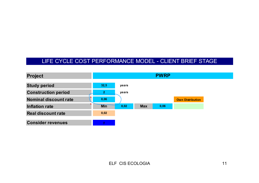## LIFE CYCLE COST PERFORMANCE MODEL - CLIENT BRIEF STAGE

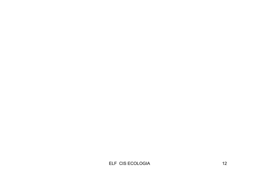### ELF CIS ECOLOGIA 12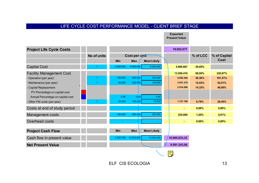### LIFE CYCLE COST PERFORMANCE MODEL - CLIENT BRIEF STAGE

### **E xpected Present Value**

| <b>Project Life Cycle Costs</b>   |             |            |               |                    |                             | 19.652.077    |          |              |
|-----------------------------------|-------------|------------|---------------|--------------------|-----------------------------|---------------|----------|--------------|
|                                   | No of units |            | Cost per unit |                    |                             |               | % of LCC | % of Capital |
|                                   |             | <b>Min</b> | <b>Max</b>    | <b>Most Likely</b> |                             |               |          | Cost         |
| <b>Capital Cost</b>               |             | 3.600.000  | 8.000.000     | 6.000.000          |                             | 5.866.667     | 29,85%   |              |
| <b>Facility Management Cost</b>   |             |            |               |                    |                             | 13,550,410    | 68,95%   | 230,97%      |
| - Operation (per year)            |             | 180.000    | 400.000       | 230.000            |                             | 5.955.392     | 30,30%   | 101,51%      |
| - Maintenance (per year)          |             | 90.000     | 200.000       | 125.000            |                             | 3.051.219     | 15,53%   | 52,01%       |
| - Capital Replacement             |             |            |               |                    |                             | 2.816.000     | 14,33%   | 48,00%       |
| PV Percentage on capital cost     |             |            |               |                    |                             |               |          |              |
| Annual Percentage on capital cost |             | 0.39       | 0,60          | 0,45               |                             |               |          |              |
| - Other FM costs (per year)       | -1          | 60.000     | 100.000       | 75.000             |                             | 1.727.799     | 8,79%    | 29,45%       |
| Costs at end of study period      |             |            |               |                    |                             | ٠             | 0,00%    | 0,00%        |
| Management costs                  |             | 180.000    | 300.000       | 225.000            |                             | 235.000       | 1,20%    | 4,01%        |
| Overhead costs                    |             |            |               |                    |                             | ٠             | 0,00%    | 0,00%        |
|                                   |             |            |               |                    |                             |               |          |              |
| <b>Project Cash Flow</b>          |             | <b>Min</b> | <b>Max</b>    | <b>Most Likely</b> |                             |               |          |              |
| Cash flow in present value        |             | 7.265.700  | 12.916.800    | 10.000.000         |                             | 10.060.833,33 |          |              |
| <b>Net Present Value</b>          |             |            |               |                    |                             | 9.591.243,58  |          |              |
|                                   |             |            |               |                    | $\mathsf{L}^{\mathsf{III}}$ |               |          |              |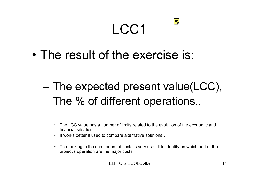

 $\mathsf{L}^{\mathsf{III}}$ 

•The result of the exercise is:

– The expected present value(LCC), The % of different operations..

- •• The LCC value has a number of limits related to the evolution of the economic and financial situation…
- •• It works better if used to compare alternative solutions....
- •• The ranking in the component of costs is very usefull to identify on which part of the project's operation are the major costs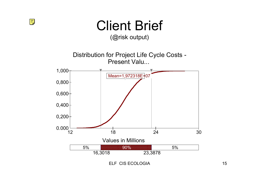# Client Brief

 $\sqrt{\frac{1}{2}}$ 

(@risk output)

 Distribution for Project Life Cycle Costs - Present Valu... Values in Millions0,000 0,200 0,400 0,600 0,800 1,000 Mean=1,972318E+07  $12$  18 24 30 5% 90% 16,3018 16,3018 16,3018 23,3878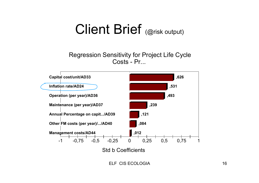# Client Brief (@risk output)

## Regression Sensitivity for Project Life Cycle Costs - Pr...

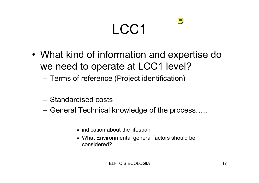

 $\mathsf{L}^{\mathsf{III}}$ 

- • What kind of information and expertise do we need to operate at LCC1 level?
	- Terms of reference (Project identification)
	- –Standardised costs
	- General Technical knowledge of the process…..
		- » indication about the lifespan
		- » What Environmental general factors should be considered?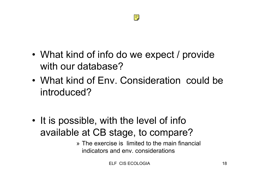

- •• What kind of info do we expect / provide with our database?
- •What kind of Env. Consideration could be introduced?

- •• It is possible, with the level of info available at CB stage, to compare?
	- »The exercise is limited to the main financial indicators and env. considerations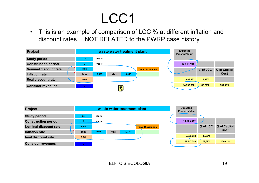# LCC1

•This is an example of comparison of LCC % at different inflation and discount rates….NOT RELATED to the PWRP case history



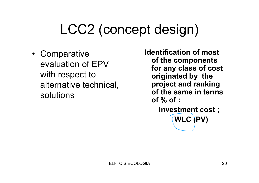# LCC2 (concept design)

• Comparative evaluation of EPV with respect to alternative technical, solutions

**Identificationof most of the components for any class of cost originated by the project and ranking of the same intermsof % of :**

> **investment cost ; WLC (PV)**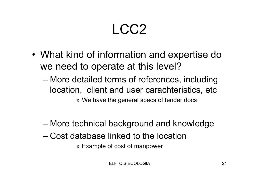# LCC2

- • What kind of information and expertise do we need to operate at this level?
	- More detailed terms of references, including location, client and user carachteristics, etc » We have the general specs of tender docs
	- More technical background and knowledge
	- –Cost database linked to the location

» Example of cost of manpower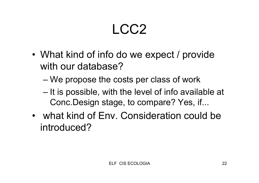# LCC2

- • What kind of info do we expect / provide with our database?
	- We propose the costs per class of work
	- – $-$  It is possible, with the level of info available at Conc.Design stage, to compare? Yes, if...
- •what kind of Env. Consideration could be introduced?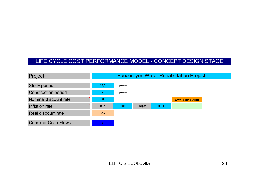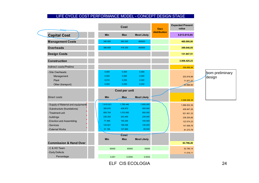|                                     |            | Cost          |                    | Own          | <b>Expected Present</b><br>value |                  |
|-------------------------------------|------------|---------------|--------------------|--------------|----------------------------------|------------------|
| <b>Capital Cost</b>                 | Min        | <b>Max</b>    | <b>Most Likely</b> | distribution | 5.013.815,05                     |                  |
| <b>Management Costs</b>             | 340.000    | 560.000       | 480000             |              | 460.000,00                       |                  |
| <b>Overheads</b>                    | 380.608    | 418.330       | 400000             |              | 399.646,05                       |                  |
| <b>Design Costs</b>                 |            |               |                    |              | 131.947,51                       |                  |
| <b>Construction</b>                 |            |               |                    |              | 3.958.425,23                     |                  |
| <b>Indirect costs/Prelims</b>       |            |               |                    |              | 359.856,84                       |                  |
| - Site Overheads                    | 0,000      | 0,000         | 0,000              |              |                                  | from preliminary |
| Management                          | 0,040      | 0,080         | 0.050              |              | 203.918,88                       | design           |
| Plant                               | 0,010      | 0,030         | 0,020              |              | 71.971,37                        |                  |
| Other (transport)                   | 0,020      | 0,030         | 0,020              |              | 83.966,60                        |                  |
|                                     |            | Cost per unit |                    |              |                                  |                  |
| <b>Direct costs</b>                 | <b>Min</b> | <b>Max</b>    | <b>Most Likely</b> |              | 3.598.568,39                     |                  |
| - Supply of Material and equipments | 1.615.021  | 1.795.446     | 1.650.000          |              | 1.686.822,36                     |                  |
| - Substructure (foundations)        | 383.670    | 436.872       | 400.000            |              | 406.847,26                       |                  |
| - Treatment unit                    | 805.704    | 1.010.000     | 950.000            |              | 921.901,33                       |                  |
| - buildings                         | 230.202    | 243.400       | 235.000            |              | 236.200,66                       |                  |
| <b>Erection and Assembling</b>      | 77.469     | 193.254       | 100.000            |              | 123.574,23                       |                  |
| Services                            | 124.821    | 156.026       | 145.000            |              | 141.948,76                       |                  |
| <b>External Works</b>               | 51.156     | 107.665       | 85.000             |              | 81.273,78                        |                  |
|                                     |            | Cost          |                    |              |                                  |                  |
| <b>Commission &amp; Hand Over</b>   | Min        | <b>Max</b>    | <b>Most Likely</b> |              | 63.796,26                        |                  |
| - C & HO Team                       | 50000      | 60000         | 55000              |              | 52.780,14                        |                  |
| <b>Early Defects</b>                |            |               |                    |              | 11.016,11                        |                  |
| Percentage                          | 0,001      | 0,0045        | 0,0032             |              |                                  |                  |

ELF CIS ECOLOGIA 24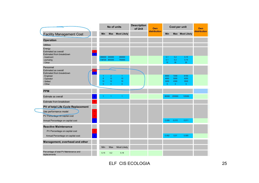|                                                                                                                                     |                  | No of units                       |                      | <b>Description</b><br>of Unit | Own          |                               | Cost per unit    | Own<br>distribution  |  |
|-------------------------------------------------------------------------------------------------------------------------------------|------------------|-----------------------------------|----------------------|-------------------------------|--------------|-------------------------------|------------------|----------------------|--|
| <b>Facility Management Cost</b>                                                                                                     | Min              | <b>Max</b>                        | <b>Most Likely</b>   |                               | distribution | <b>Min</b>                    |                  | Max Most Likely      |  |
| <b>Operation</b>                                                                                                                    |                  |                                   |                      |                               |              |                               |                  |                      |  |
| <b>Utilities</b>                                                                                                                    |                  |                                   |                      |                               |              |                               |                  |                      |  |
| Energy<br>Estimated as overall<br>$\mathsf{n}$<br>$\overline{v}$<br>Estimated from breakdown<br>- treatment<br>- pumping<br>- Other | 288000<br>738720 | 300000<br>900000                  | 290000<br>750000     |                               |              | 0,1<br>0,1<br>10 <sup>°</sup> | 0,2<br>0,2<br>30 | 0, 15<br>0, 15<br>20 |  |
| Personnel<br>Estimated as overall                                                                                                   |                  |                                   |                      |                               |              |                               |                  |                      |  |
| Estimated from breakdown                                                                                                            |                  |                                   |                      |                               |              |                               |                  |                      |  |
| - Engineer<br>- Operator                                                                                                            | $\boldsymbol{8}$ | $\overline{2}$<br>12 <sup>°</sup> | 1<br>10              |                               |              | 6000<br>4000                  | 7200<br>5000     | 6150<br>4250         |  |
| - Skilled                                                                                                                           | 10               | 12 <sup>°</sup>                   | 10                   |                               |              | 3200                          | 4300             | 3500                 |  |
| Other                                                                                                                               | $\Omega$         | $\overline{0}$                    | $\mathbf{0}$         |                               |              | $\overline{0}$                | $\mathbf{0}$     | $\overline{0}$       |  |
| <b>PPM</b>                                                                                                                          |                  |                                   |                      |                               |              |                               |                  |                      |  |
| Estimate as overall                                                                                                                 |                  | $\mathbf{1}$                      | $\blacktriangleleft$ |                               |              | 90000                         | 200000           | 125000               |  |
| Estimate from breakdown<br>n.                                                                                                       |                  |                                   |                      |                               |              |                               |                  |                      |  |
| PV of total Life Cycle Replacement                                                                                                  |                  |                                   |                      |                               |              |                               |                  |                      |  |
| Use performance model<br>'n.                                                                                                        |                  |                                   |                      |                               |              |                               |                  |                      |  |
| PV Percentage on capital cost<br>n.                                                                                                 |                  |                                   |                      |                               |              |                               |                  |                      |  |
| Annual Percentage on capital cost                                                                                                   |                  |                                   |                      |                               |              | 0.009                         | 0,015            | 0.011                |  |
| <b>Reactive Maintenance</b>                                                                                                         |                  |                                   |                      |                               |              |                               |                  |                      |  |
| PV Percentage on capital cost<br>$\mathsf{n}$                                                                                       |                  |                                   |                      |                               |              |                               |                  |                      |  |
| Annual Percentage on capital cost                                                                                                   |                  |                                   |                      |                               |              | 0,002                         | 0,01             | 0,005                |  |
| Management, overhead and other                                                                                                      |                  |                                   |                      |                               |              |                               |                  |                      |  |
|                                                                                                                                     | Min              | Max                               | <b>Most Likely</b>   |                               |              |                               |                  |                      |  |
| Percentage of total PV Maintenance and<br>replacements                                                                              | 0, 15            | 0,2                               | 0,18                 |                               |              |                               |                  |                      |  |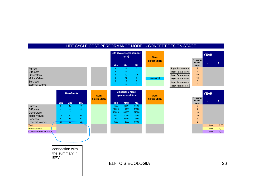|                       |            |   | (yrs)            | <b>Life Cycle Replacement</b> | Own          |                         |                                      | <b>YEAR</b> |   |
|-----------------------|------------|---|------------------|-------------------------------|--------------|-------------------------|--------------------------------------|-------------|---|
|                       | <b>Min</b> |   | <b>Max</b>       | <b>ML</b>                     | distribution |                         | <b>Frequency</b><br>of task<br>(yrs) | 3           | 4 |
| Pumps                 |            |   | 10 <sup>°</sup>  | 6                             |              | <b>Input Parameters</b> |                                      |             |   |
| <b>Diffusers</b>      |            | 5 | 10 <sup>10</sup> |                               |              | <b>Input Parameters</b> |                                      |             |   |
| Generators            | o          |   | 12               | 10 <sup>10</sup>              |              | <b>Input Parameters</b> | 10                                   |             |   |
| <b>Motor Valves</b>   | 5          |   | 12 <sup>2</sup>  | 8                             | Lognormal    | <b>Input Parameters</b> | 10                                   |             |   |
| <b>Services</b>       |            |   | 6                | 5                             |              | <b>Input Parameters</b> | 5                                    |             |   |
| <b>External Works</b> |            |   | 10               | 5                             |              | <b>Input Parameters</b> | 5                                    |             |   |

|                                 | No of units     |            | <b>Own</b>      |              | Cost per unit at<br>replacement time |            | Own       |              | <b>YEAR</b>                 |      |      |
|---------------------------------|-----------------|------------|-----------------|--------------|--------------------------------------|------------|-----------|--------------|-----------------------------|------|------|
|                                 |                 |            |                 | distribution |                                      |            |           | distribution | <b>Frequency</b><br>of task | 3    | 4    |
|                                 | <b>Min</b>      | <b>Max</b> | <b>ML</b>       |              | <b>Min</b>                           | <b>Max</b> | <b>ML</b> |              | (yrs)                       |      |      |
| Pumps                           | 8               | 12         | 9               |              | 4500                                 | 7500       | 5500      |              |                             |      |      |
| <b>Diffusers</b>                |                 | 4          | 4               |              | 12500                                | 19000      | 15000     |              |                             |      |      |
| Generators                      |                 | $\Omega$   |                 |              | 25000                                | 30000      | 27000     |              | 10                          |      |      |
| <b>Motor Valves</b>             | 10 <sup>°</sup> | 20         | 18              |              | 3000                                 | 5000       | 3800      |              | 10                          |      |      |
| Services                        | 5               | 15         | 12 <sup>1</sup> |              | 1500                                 | 3500       | 2000      |              | 5                           |      |      |
| <b>External Works</b>           | 20              | 50         | 35 <sub>2</sub> |              | 3500                                 | 12500      | 9000      |              | 5                           |      |      |
| Total                           |                 |            |                 |              |                                      |            |           |              |                             | 0,00 | 0,00 |
| <b>Present Value</b>            |                 |            |                 |              |                                      |            |           |              |                             | 0,00 | 0,00 |
| <b>Cumulative Present Value</b> |                 |            |                 |              |                                      |            |           |              |                             | 0,00 | 0,00 |
|                                 |                 |            |                 |              |                                      |            |           |              |                             |      |      |

| Cost per unit at<br>replacement time |            |  |  |  |  |  |  |
|--------------------------------------|------------|--|--|--|--|--|--|
| <b>Max</b>                           | <b>Min</b> |  |  |  |  |  |  |
| 7500                                 | 4500       |  |  |  |  |  |  |
| 19000                                | 12500      |  |  |  |  |  |  |
| 30000                                | 25000      |  |  |  |  |  |  |
| 5000                                 | 3000       |  |  |  |  |  |  |
| 3500                                 | 1500       |  |  |  |  |  |  |
| 12500                                | 3500       |  |  |  |  |  |  |
|                                      |            |  |  |  |  |  |  |

|                               | <b>YEAR</b> |      |
|-------------------------------|-------------|------|
| Frequency<br>of task<br>(yrs) | 3           | 4    |
| 7                             |             |      |
| $\overline{7}$                |             |      |
| 10                            |             |      |
| 10                            |             |      |
| 5                             |             |      |
| 5                             |             |      |
|                               | 0,00        | 0,00 |
|                               | 0,00        | 0,00 |
|                               | 0,00        | 0,00 |

connection with the summary in EPV

ELF CIS ECOLOGIA 26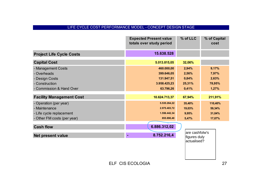| <b>Expected Present value</b><br>totals over study period           | % of LLC                                       | % of Capital<br>cost                       |
|---------------------------------------------------------------------|------------------------------------------------|--------------------------------------------|
| 15.638.528                                                          |                                                |                                            |
| 5.013.815,05                                                        | 32,06%                                         |                                            |
| 460.000,00<br>399.646,05<br>131.947,51<br>3.958.425,23<br>63.796,26 | 2,94%<br>2,56%<br>0,84%<br>25,31%<br>0,41%     | 9,17%<br>7,97%<br>2,63%<br>78,95%<br>1,27% |
| 10.624.713,37                                                       | 67,94%                                         | 211,91%                                    |
| 5.535.264,22<br>2.975.403,72<br>1.556.442,34<br>855.890,40          | 35,40%<br>19,03%<br>9,95%<br>5,47%             | 110,40%<br>59,34%<br>31,04%<br>17,07%      |
| 6.886.312,02<br>8.752.216,4                                         | are cashfolw's<br>figures duly<br>lactualised? |                                            |
|                                                                     |                                                |                                            |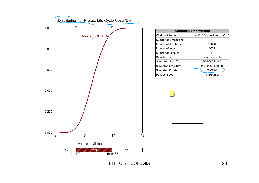

| <b>Summary Information</b>   |                            |  |  |  |  |  |  |
|------------------------------|----------------------------|--|--|--|--|--|--|
| Workbook Name                | Is, ELF Conceptdesign V1-7 |  |  |  |  |  |  |
| Number of Simulations        |                            |  |  |  |  |  |  |
| Number of Iterations         | 10000                      |  |  |  |  |  |  |
| Number of Inputs             | 1009                       |  |  |  |  |  |  |
| Number of Outputs            | 11                         |  |  |  |  |  |  |
| Sampling Type                | Latin Hypercube            |  |  |  |  |  |  |
| <b>Simulation Start Time</b> | 28/04/2004 18.51           |  |  |  |  |  |  |
| Simulation Stop Time         | 28/04/2004 18.58           |  |  |  |  |  |  |
| Simulation Duration          | 00.07.00                   |  |  |  |  |  |  |
| Random Seed                  | 1736642627                 |  |  |  |  |  |  |

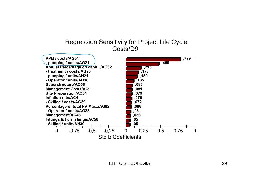## Regression Sensitivity for Project Life Cycle Costs/D9

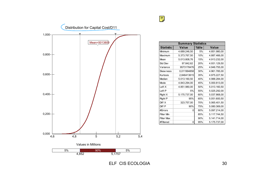

|                   | <b>Summary Statistics</b> |       |              |
|-------------------|---------------------------|-------|--------------|
| <b>Statistic</b>  | Value                     | %tile | <b>Value</b> |
| Minimum           | 4.689.246,50              | 5%    | 4.851.980,00 |
| Maximum           | 5.373.767.50              | 10%   | 4.887.466,00 |
| Mean              | 5.013.808.76              | 15%   | 4.913.232,00 |
| Std Dev           | 97.842,62                 | 20%   | 4.931.129,50 |
| Variance          | 9573178476                | 25%   | 4.946.755,00 |
| Skew ness         | 0,011994858               | 30%   | 4.961.785,00 |
| Kurtosis          | 2,846413615               | 35%   | 4.975.227,50 |
| Median            | 5.013.160,50              | 40%   | 4.988.284,00 |
| Mode              | 4.843.294,00              | 45%   | 5.000.813,00 |
| Left X            | 4.851.980,00              | 50%   | 5.013.160,50 |
| Left P            | 5%                        | 55%   | 5.025.292,00 |
| Right X           | 5.175.737,00              | 60%   | 5.037.868,00 |
| <b>Right P</b>    | 95%                       | 65%   | 5.051.600,50 |
| Diff X            | 323.757,00                | 70%   | 5.065.401,50 |
| Diff P            | 90%                       | 75%   | 5.080.369,00 |
| #Errors           | 0                         | 80%   | 5.097.214,00 |
| <b>Filter Min</b> |                           | 85%   | 5.117.744,50 |
| <b>Filter Max</b> |                           | 90%   | 5.141.714,00 |
| #Filtered         | 0                         | 95%   | 5.175.737,00 |

 $\sqrt{\frac{1}{2}}$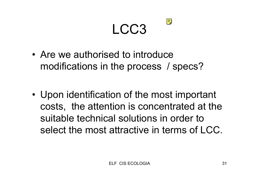

 $\mathsf{L}^{\mathsf{III}}$ 

• Are we authorised to introduce modifications in the process / specs?

• Upon identification of the most important costs, the attention is concentrated at the suitable technical solutions in order to select the most attractive in terms of LCC.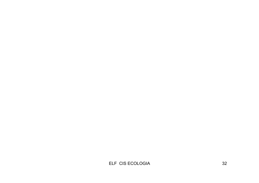## ELF CIS ECOLOGIA 32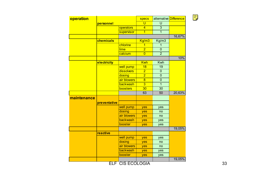| operation   |              |                  | specs                   |                 | alternative Difference |
|-------------|--------------|------------------|-------------------------|-----------------|------------------------|
|             | personnel    |                  | $\overline{\mathsf{U}}$ | U               |                        |
|             |              | operators        | $\overline{\mathbf{4}}$ | $\overline{3}$  |                        |
|             |              | supervisor       | $\overline{1}$          | $\mathbf{1}$    |                        |
|             |              |                  |                         |                 | 16,67%                 |
|             | chemicals    |                  | Kg/m3                   | Kg/m3           |                        |
|             |              | chlorine         | $\overline{1}$          | $\overline{1}$  |                        |
|             |              | lime             | $\overline{2}$          | $\overline{0}$  |                        |
|             |              | calcium          | $\overline{0}$          | $\overline{2}$  |                        |
|             |              |                  |                         |                 | 10%                    |
|             | electricity  |                  | <b>Kwh</b>              | Kwh             |                        |
|             |              | well pump        | 18                      | 19              |                        |
|             |              | dissolvers       | $\overline{2}$          | $\overline{0}$  |                        |
|             |              | dosing           | $\overline{2}$          | $\overline{0}$  |                        |
|             |              | air blowers      | $\overline{8}$          | $\pmb{0}$       |                        |
|             |              | backwash         | $\overline{3}$          | $\overline{1}$  |                        |
|             |              | boosters         | 30                      | $\overline{30}$ |                        |
|             |              |                  | 63                      | 50              | 20,63%                 |
| maintenance |              |                  |                         |                 |                        |
|             | preventative |                  |                         |                 |                        |
|             |              | well pump        | yes                     | yes             |                        |
|             |              | dosing           | yes                     | no              |                        |
|             |              | air blowers      | yes                     | no              |                        |
|             |              | backwash         | yes                     | yes             |                        |
|             |              | booster          | yes                     | yes             |                        |
|             |              |                  |                         |                 | 19,05%                 |
|             | reactive     |                  |                         |                 |                        |
|             |              | well pump        | yes                     | yes             |                        |
|             |              | dosing           | yes                     | no              |                        |
|             |              | air blowers      | yes                     | no              |                        |
|             |              | backwash         | yes                     | yes             |                        |
|             |              | booster          | yes                     | yes             |                        |
|             |              | ELF CIS ECOLOGIA |                         |                 | 19,05%                 |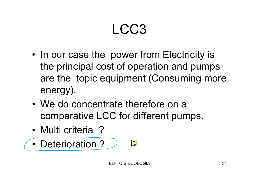# LCC3

- •• In our case the power from Electricity is the principal cost of operation and pumps are the topic equipment (Consuming more energy).
- We do concentrate therefore on a comparative LCC for different pumps.
- Multi criteria ?
- •• Deterioration?

 $\mathsf{L}^{\mathsf{III}}$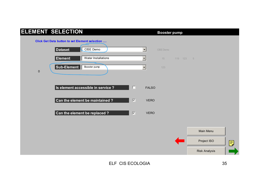## **ELEMENT SELECTION**

#### **Booster pum p**

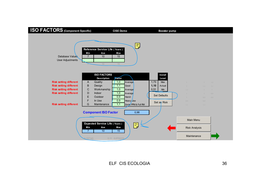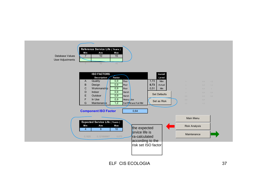|     | Reference Service Life (Years) |     |  |
|-----|--------------------------------|-----|--|
| Min | Ave                            | Max |  |
|     | 1 <sub>0</sub>                 | 15  |  |
|     |                                |     |  |
|     |                                |     |  |

Database Values No. 7 User Adjustments



### ELF CIS ECOLOGIA 37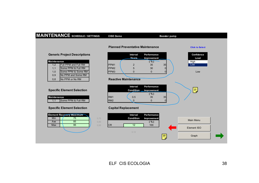### **MAINTENANCE** SCHEDULE / SETTINGS

**CISE**

**Demo Booster pump**

#### **Planned PreventativeMaintenance**

**Generic Project Des** 

|     | Maintenance          |  |  |  |  |  |  |  |  |  |
|-----|----------------------|--|--|--|--|--|--|--|--|--|
| 1.2 | Full PPM and Full RM |  |  |  |  |  |  |  |  |  |
| 1,1 | Some PPM & Full RM   |  |  |  |  |  |  |  |  |  |
| 1.0 | Some PPM & Some RM   |  |  |  |  |  |  |  |  |  |
| 0.9 | No PPM and Some RM   |  |  |  |  |  |  |  |  |  |
| 0.8 | No PPM or No RM      |  |  |  |  |  |  |  |  |  |

#### **S pecific Element S ele ctio n**

**Maintenance**e Roman de la Romana de la Romana de la Romana de la Romana de la Romana de la Romana de la Romana de la Roman 1,1 Some PPM & Full R M

#### **S pecific Element S ele ctio n**

|     | <b>Element Recovery Maximum</b> |    |
|-----|---------------------------------|----|
| Min | 75                              | 75 |
| Ave | 85                              | 85 |
| Max | 95                              |    |
|     |                                 |    |



#### **Reactive Maintenance**



#### **C a pital R e placement**





**Click to Select**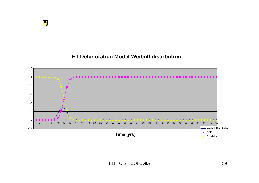

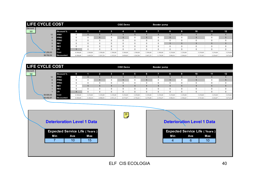| <b>LIFE CYCLE COST</b> |           |                   |          |          |              |          | <b>CISE Demo</b> |          |          | Booster pump |          |             |          |          |                   |
|------------------------|-----------|-------------------|----------|----------|--------------|----------|------------------|----------|----------|--------------|----------|-------------|----------|----------|-------------------|
| <b>Discount</b>        |           |                   |          |          |              |          |                  |          |          |              |          |             |          |          |                   |
| 3,5                    |           | Discount %        | 0        |          | $\mathbf{2}$ | 3        | ч.               | 5        | 6        | 7.           | 8        | 9           | 10       | 11       | $12 \overline{ }$ |
|                        | 12        | PPM <sub>1</sub>  |          |          |              |          |                  |          |          |              |          |             |          |          |                   |
|                        |           | PPM <sub>2</sub>  |          | 0        |              |          |                  |          |          | 0            |          | 0           |          |          |                   |
|                        |           | PPM <sub>3</sub>  |          | $\Omega$ |              |          | $\Omega$         |          | 0        | 0            | 0        | $\Omega$    |          |          | 0                 |
|                        |           | <b>RM1</b>        |          | 0        |              |          | $\Omega$         |          | 0        | 0            |          |             |          |          |                   |
|                        |           | RM <sub>2</sub>   |          | $\Omega$ |              |          | 0                |          | 0        | 0            | 0        | $\mathbf 0$ |          |          | $\mathbf{0}$      |
|                        |           | I CR              |          | 0        |              |          |                  |          | 0        | 0            | 0        | 0           |          |          | 0                 |
|                        | 47.250,00 | Cost              | 8.500.00 | 1.500,00 | 3.500,00     | 1.500,00 | 3.500,00         | 1.500,00 | 3.500,00 | 1.500,00     | 5.250,00 | 3.250,00    | 5.250,00 | 3.250,00 | 5.250,00          |
| 38.702,52              |           | <b>Discounted</b> | 8.500,00 | 1.449,28 | 3.267,29     | 1.352,91 | 3.050,05         | 1.262,96 | 2.847,25 | 1.178,99     | 3.986,91 | 2.384,63    | 3.721,82 | 2.226,07 | 3.474,36          |

|                 | <b>LIFE CYCLE COST</b> |                   |          |              |                |          | <b>CISE Demo</b> |          |              | Booster pump |          |          |          |          |                   |
|-----------------|------------------------|-------------------|----------|--------------|----------------|----------|------------------|----------|--------------|--------------|----------|----------|----------|----------|-------------------|
| <b>Discount</b> |                        |                   |          |              |                |          |                  |          |              |              |          |          |          |          |                   |
| 3,5             |                        | Discount %        | 0        |              | $\overline{2}$ | 3        |                  | 5        | 6            | U            | 8        | 9        | 10       | 11       | $12 \overline{ }$ |
|                 | 12                     | PPM <sub>1</sub>  |          |              |                |          |                  |          |              |              |          |          |          |          |                   |
|                 |                        | PPM <sub>2</sub>  |          | $\Omega$     |                |          |                  |          |              | υ            |          | 0        |          |          |                   |
|                 |                        | PPM <sub>3</sub>  |          | $\Omega$     |                |          | 0                |          | <sup>0</sup> | υ            | υ        | 0        |          |          | 0                 |
|                 |                        | RM <sub>1</sub>   | J.       |              |                |          |                  |          |              |              |          |          |          |          |                   |
|                 |                        | RM <sub>2</sub>   |          | $\Omega$     | 0              | 0        | 0                |          | $\Omega$     | 0            | 0        | 0        |          | 0        | 0                 |
|                 |                        | <b>CR</b>         |          | <sup>0</sup> |                |          | 0                |          | $\Omega$     | υ            | υ        | 0        |          |          | 0                 |
|                 | 59.500,00              | Cost              | 8.500,00 | 3.250,00     | 5.250,00       | 3.250,00 | 5.250,00         | 3.250,00 | 5.250,00     | 3.250,00     | 5.250,00 | 3.250,00 | 5.250,00 | 3.250,00 | 5.250,00          |
|                 | 49.402,97              | <b>Discounted</b> | 8.500,00 | 3.140,10     | 4.900,93       | 2.931,31 | 4.575,07         | 2.736,41 | 4.270,88     | 2.554,47     | 3.986,91 | 2.384,63 | 3.721,82 | 2.226,07 | 3.474,36          |

 $\sqrt{\frac{1}{2}}$ 

### **Deterioration Level 1 Data**

| <b>Expected Service Life (Years)</b> |     |     |  |  |  |  |  |  |  |
|--------------------------------------|-----|-----|--|--|--|--|--|--|--|
| Min                                  | Ave | Max |  |  |  |  |  |  |  |
|                                      | 10  | 15  |  |  |  |  |  |  |  |



### ELF CIS ECOLOGIA 40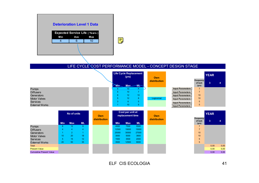

|                       | Life Cycle Replacement | (yrs)           |                  | Own          |                         |                                      | <b>YEAR</b> |                |
|-----------------------|------------------------|-----------------|------------------|--------------|-------------------------|--------------------------------------|-------------|----------------|
|                       | <b>Min-</b>            | <b>Max</b>      | $\blacksquare$   | distribution |                         | <b>Frequency</b><br>of task<br>(yrs) | 3           | $\overline{4}$ |
| Pumps                 |                        | 10              | 6.               |              | Input Parameters        | $\overline{ }$                       |             |                |
| <b>Diffusers</b>      | 5                      | 10 <sup>1</sup> |                  |              | <b>Input Parameters</b> | 7                                    |             |                |
| Generators            | 8                      | 12              | 10 <sup>10</sup> |              | <b>Input Parameters</b> | 10 <sup>°</sup>                      |             |                |
| <b>Motor Valves</b>   |                        | 12              | 8                | Lognormal    | <b>Input Parameters</b> | 10                                   |             |                |
| <b>Services</b>       | $\sqrt{2}$<br>.a       | 6               |                  |              | <b>Input Parameters</b> | 5                                    |             |                |
| <b>External Works</b> |                        | 10              | ь                |              | <b>Input Parameters</b> | 5                                    |             |                |

|                                 | No of units |                 | Cost per unit at<br>replacement time<br>Own |              |            |                         | Own   |              | <b>YEAR</b>                          |      |  |
|---------------------------------|-------------|-----------------|---------------------------------------------|--------------|------------|-------------------------|-------|--------------|--------------------------------------|------|--|
|                                 | <b>Min</b>  | <b>Max</b>      | <b>ML</b>                                   | distribution | <b>Min</b> | <b>Max</b><br><b>ML</b> |       | distribution | <b>Frequency</b><br>of task<br>(yrs) | 3    |  |
| Pumps                           | 8           | 12 <sub>2</sub> | -9                                          |              | 4500       | 7500                    | 5500  |              |                                      |      |  |
| <b>Diffusers</b>                | 4           | 4               | 4                                           |              | 12500      | 19000                   | 15000 |              | $\overline{7}$                       |      |  |
| Generators                      |             | $\sim$          |                                             |              | 25000      | 30000                   | 27000 |              | 10                                   |      |  |
| <b>Motor Valves</b>             | 10          | 20              | 18                                          |              | 3000       | 5000                    | 3800  |              | 10                                   |      |  |
| <b>Services</b>                 | 5           | 15              | 12                                          |              | 1500       | 3500                    | 2000  |              | 5                                    |      |  |
| <b>External Works</b>           | 20          | 50              | 35                                          |              | 3500       | 12500                   | 9000  |              | 5                                    |      |  |
| <b>Total</b>                    |             |                 |                                             |              |            |                         |       |              |                                      | 0,00 |  |
| <b>Present Value</b>            |             |                 |                                             |              |            |                         |       |              |                                      | 0,00 |  |
| <b>Cumulative Present Value</b> |             |                 |                                             |              |            |                         |       |              |                                      | 0,00 |  |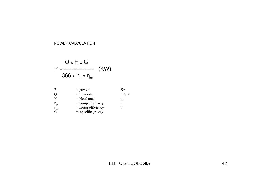### POW ER CALCULATION

$$
Q \times H \times G
$$
  
P = 28.28 cm<sub>p</sub> m (KW)  
366 cm<sub>p</sub> m

| P                                | $=$ power            | Kw    |
|----------------------------------|----------------------|-------|
| Q                                | $=$ flow rate        | m3/hr |
| Η                                | $=$ Head total       | m.    |
| $\boldsymbol{\eta}_{\mathsf{p}}$ | $=$ pump efficiency  | n     |
| $\eta_{\sf m}$                   | $=$ motor efficiency | n     |
| G                                | $=$ specific gravity |       |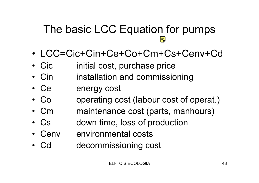# The basic LCC Equation for pumps ⊾'⊞

- •LCC=Cic+Cin+Ce+Co+Cm+Cs+Cenv+Cd
- Cicinitial cost, purchase price
- •Cininstallation and commissioning
- •Ceenergy cost
- •Cooperating cost (labour cost of operat.)
- •Cmmaintenance cost (parts, manhours)
- •Csdown time, loss of production
- Cenv environmental costs
- •Cddecommissioning cost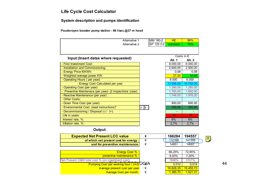### **Li fe C ycle C ost C alculator**

#### **Sy ste m de s cription and pumps i d e ntific ation**

**Poudero y en booster pump station - 6 6 l/se c.@ 3 7 m he a d**

| Alternative 1                                              | MM 180-2   | <b>HF</b>     | 86%                 |
|------------------------------------------------------------|------------|---------------|---------------------|
| Alternative 2                                              | SP 125 2-2 | standard      | 70%                 |
|                                                            |            |               |                     |
|                                                            |            |               | Costs in $\epsilon$ |
| Input: (Insert datas where requested)                      |            | <b>Alt. 1</b> | Alt. 2              |
| - First Investment Cost:                                   |            | 8.000,00      | 6.000,00            |
| - Installation and Commissioning:                          |            | 2.600,00      | 2.500,00            |
| - Energy Price €/KWh:                                      |            | 0,08          | 0,08                |
| - Weighted average power KW:                               |            | 27,20         | 34,90               |
| - Operating Hours (per year):                              |            | 6.000         | 6.000               |
| <b>Energy Cost Calculated per year</b>                     |            | 13.056,00     | 16.752,00           |
| - Operating Cost (per year):                               |            | 1.260,00      | 1.260,00            |
| - Preventive Maintenace (per year)- (2 inspections /year): |            | 1.760,00      | 1.660,00            |
| - Reactive Maintenance (per year) :                        |            | 1.746,00      | 1.976,00            |
| - Other Costs:                                             |            |               |                     |
| - Down Time Cost (per year):                               |            | 800,00        | 600,00              |
| - Environmental Cost: (read instructions)*                 | y y        | 330,00        | 330,00              |
| - Decommissioning / Disposal (-) / (+):                    |            |               |                     |
| Life in years:                                             |            | 10            | 10                  |
| Interest rate, %:                                          |            | 6%            | 6%                  |
| Inflation rate, %:                                         |            | 2,7%          | 2,7%                |
| Output:                                                    |            |               |                     |

| <b>Expected Net Present LCC value</b>             |   | 166284    | 194557    |    |
|---------------------------------------------------|---|-----------|-----------|----|
| of which net present cost for energy :            | € | 110168    | 141355    |    |
| and for preventive maintenance:                   | € | 14851     | 14007     |    |
|                                                   |   |           |           |    |
| <b>Energy Cost %:</b>                             |   | 66,25%    | 72,65%    |    |
| preventive maintenance % :                        |   | 8,93%     | 7,20%     |    |
| Net Present O&M total cost % (on investment cost) |   | 1946%     | 3101%     |    |
| Pumping Cost per working hour / (m3) OGIA         |   | 0,012     | 0.014     | 44 |
| Average present cost per year                     | € | 16.628,35 | 19.455,73 |    |

<mark>h</mark> € <mark>1.385,70</mark>

1.621, 31

A verage C ost per m onth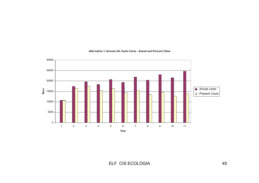

#### **Alternative 1: Annual Life Cycle Costs - Actual and Present Value**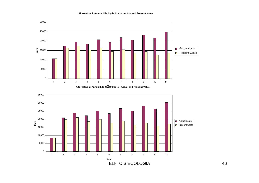

**Alternative 1: Annual Life Cycle Costs - Actual and Present Value**



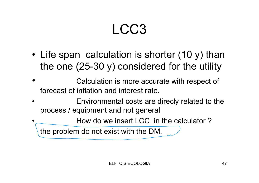# LCC3

- • Life span calculation is shorter (10 y) than the one (25-30 y) considered for the utility
- • Calculation is more accurate with respect of forecast of inflation and interest rate.
- •Environmental costs are direcly related to the process / equipment and not general

How do we insert LCC in the calculator ?

the problem do not exist with the DM.

•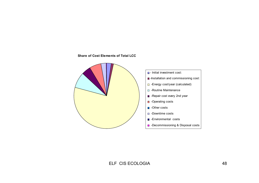#### **Share of Cost Elements of Total LCC**